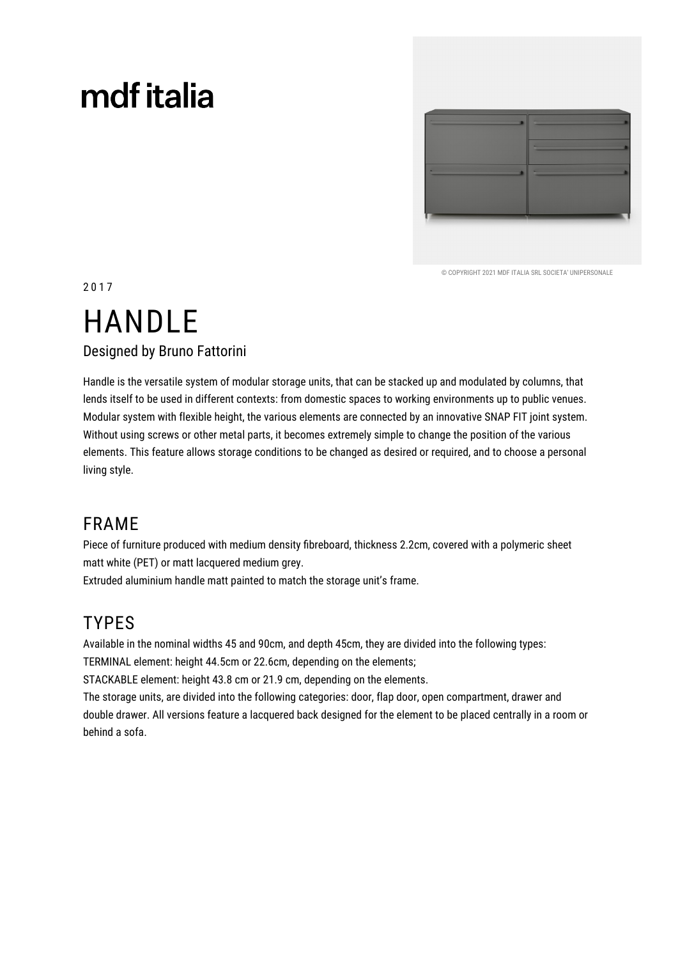## mdf italia



© COPYRIGHT 2021 MDE ITALIA SRL SOCIETA' UNIPERSONALE

2017

## **HANDLE Designed by Bruno Fattorini**

Handle is the versatile system of modular storage units, that can be stacked up and modulated by columns, that lends itself to be used in different contexts: from domestic spaces to working environments up to public venues. Modular system with flexible height, the various elements are connected by an innovative SNAP FIT joint system. Without using screws or other metal parts, it becomes extremely simple to change the position of the various elements. This feature allows storage conditions to be changed as desired or required, and to choose a personal living style.

### **FRAME**

Piece of furniture produced with medium density fibreboard, thickness 2.2cm, covered with a polymeric sheet matt white (PET) or matt lacquered medium grey.

Extruded aluminium handle matt painted to match the storage unit's frame.

## **TYPES**

Available in the nominal widths 45 and 90cm, and depth 45cm, they are divided into the following types: TERMINAL element: height 44.5cm or 22.6cm, depending on the elements;

STACKABLE element: height 43.8 cm or 21.9 cm, depending on the elements.

The storage units, are divided into the following categories: door, flap door, open compartment, drawer and double drawer. All versions feature a lacquered back designed for the element to be placed centrally in a room or behind a sofa.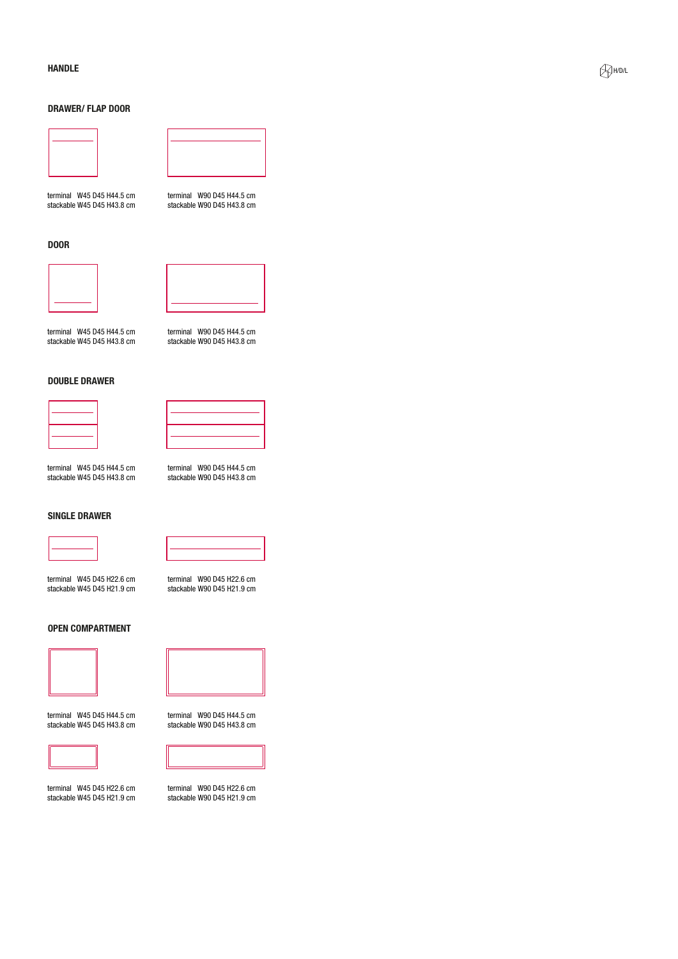#### **HANDLE**

#### **DRAWER/FLAP DOOR**



terminal W45 D45 H44.5 cm stackable W45 D45 H43.8 cm

terminal W90 D45 H44.5 cm stackable W90 D45 H43.8 cm

**DOOR** 



terminal W45 D45 H44.5 cm



terminal W90 D45 H44.5 cm

stackable W90 D45 H43.8 cm

terminal W90 D45 H22.6 cm

stackable W90 D45 H21.9 cm

**DOUBLE DRAWER** 

stackable W45 D45 H43.8 cm



terminal W45 D45 H44.5 cm stackable W45 D45 H43.8 cm





terminal W45 D45 H22.6 cm stackable W45 D45 H21.9 cm





terminal W45 D45 H44.5 cm stackable W45 D45 H43.8 cm



terminal W45 D45 H22.6 cm stackable W45 D45 H21.9 cm



terminal W90 D45 H44.5 cm stackable W90 D45 H43.8 cm



terminal W90 D45 H22.6 cm stackable W90 D45 H21.9 cm



 $\bigotimes$ H/D/L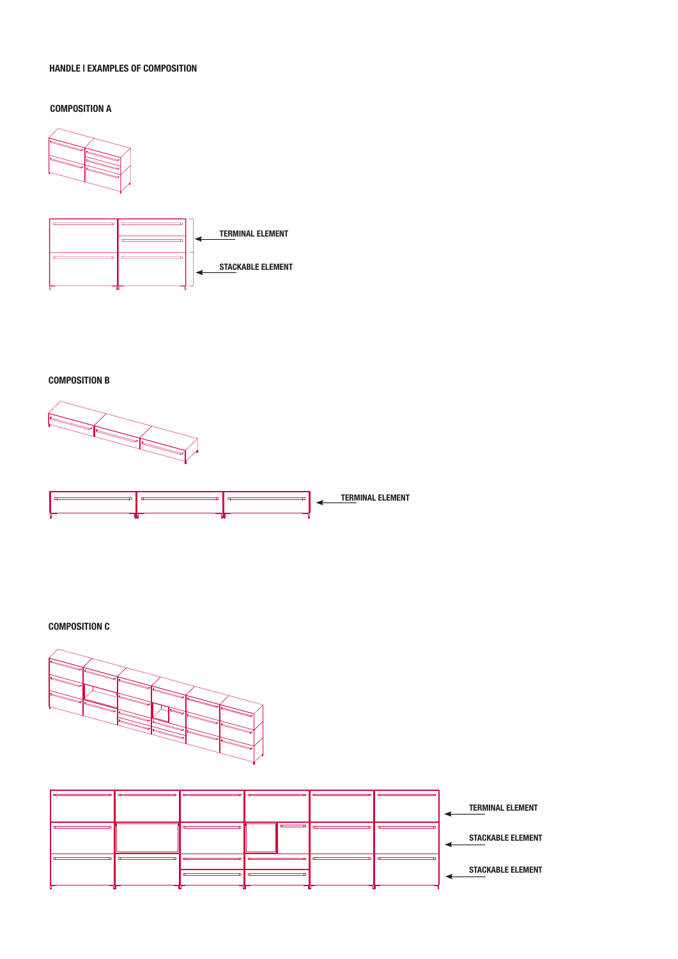#### **HANDLE I EXAMPLES OF COMPOSITION**

#### **COMPOSITION A**





**COMPOSITION B** 





**COMPOSITION C**